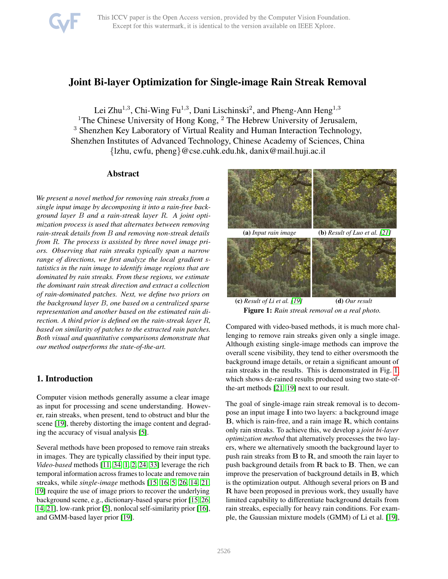

# Joint Bi-layer Optimization for Single-image Rain Streak Removal

Lei Zhu<sup>1,3</sup>, Chi-Wing Fu<sup>1,3</sup>, Dani Lischinski<sup>2</sup>, and Pheng-Ann Heng<sup>1,3</sup> <sup>1</sup>The Chinese University of Hong Kong,  $2$  The Hebrew University of Jerusalem, <sup>3</sup> Shenzhen Key Laboratory of Virtual Reality and Human Interaction Technology, Shenzhen Institutes of Advanced Technology, Chinese Academy of Sciences, China {lzhu, cwfu, pheng}@cse.cuhk.edu.hk, danix@mail.huji.ac.il

### Abstract

*We present a novel method for removing rain streaks from a single input image by decomposing it into a rain-free background layer* B *and a rain-streak layer* R*. A joint optimization process is used that alternates between removing rain-streak details from* B *and removing non-streak details from* R*. The process is assisted by three novel image priors. Observing that rain streaks typically span a narrow range of directions, we first analyze the local gradient statistics in the rain image to identify image regions that are dominated by rain streaks. From these regions, we estimate the dominant rain streak direction and extract a collection of rain-dominated patches. Next, we define two priors on the background layer* B*, one based on a centralized sparse representation and another based on the estimated rain direction. A third prior is defined on the rain-streak layer* R*, based on similarity of patches to the extracted rain patches. Both visual and quantitative comparisons demonstrate that our method outperforms the state-of-the-art.*

## 1. Introduction

Computer vision methods generally assume a clear image as input for processing and scene understanding. However, rain streaks, when present, tend to obstruct and blur the scene [\[19\]](#page-8-0), thereby distorting the image content and degrading the accuracy of visual analysis [\[5\]](#page-8-1).

Several methods have been proposed to remove rain streaks in images. They are typically classified by their input type. *Video-based* methods [\[11,](#page-8-2) [34,](#page-8-3) [1,](#page-8-4) [2,](#page-8-5) [24,](#page-8-6) [33\]](#page-8-7) leverage the rich temporal information across frames to locate and remove rain streaks, while *single-image* methods [\[15,](#page-8-8) [16,](#page-8-9) [5,](#page-8-1) [26,](#page-8-10) [14,](#page-8-11) [21,](#page-8-12) [19\]](#page-8-0) require the use of image priors to recover the underlying background scene, e.g., dictionary-based sparse prior [\[15,](#page-8-8) [26,](#page-8-10) [14,](#page-8-11) [21\]](#page-8-12), low-rank prior [\[5\]](#page-8-1), nonlocal self-similarity prior [\[16\]](#page-8-9), and GMM-based layer prior [\[19\]](#page-8-0).

<span id="page-0-0"></span>

(c) *Result of Li et al. [\[19\]](#page-8-0)* (d) *Our result* Figure 1: *Rain streak removal on a real photo.*

Compared with video-based methods, it is much more challenging to remove rain streaks given only a single image. Although existing single-image methods can improve the overall scene visibility, they tend to either oversmooth the background image details, or retain a significant amount of rain streaks in the results. This is demonstrated in Fig. [1,](#page-0-0) which shows de-rained results produced using two state-ofthe-art methods [\[21,](#page-8-12) [19\]](#page-8-0) next to our result.

The goal of single-image rain streak removal is to decompose an input image I into two layers: a background image B, which is rain-free, and a rain image R, which contains only rain streaks. To achieve this, we develop a *joint bi-layer optimization method* that alternatively processes the two layers, where we alternatively smooth the background layer to push rain streaks from  $B$  to  $R$ , and smooth the rain layer to push background details from  $R$  back to  $B$ . Then, we can improve the preservation of background details in B, which is the optimization output. Although several priors on B and R have been proposed in previous work, they usually have limited capability to differentiate background details from rain streaks, especially for heavy rain conditions. For example, the Gaussian mixture models (GMM) of Li et al. [\[19\]](#page-8-0),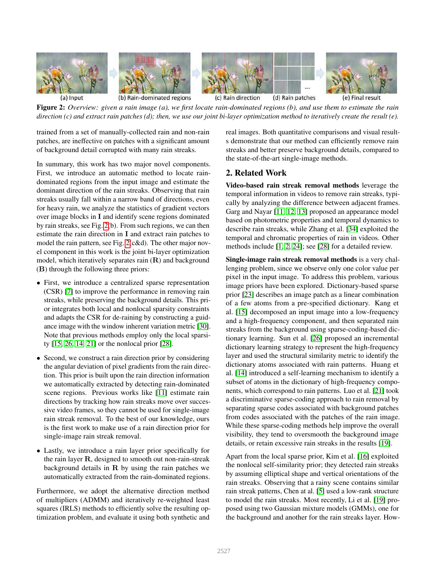<span id="page-1-0"></span>

Figure 2: *Overview: given a rain image (a), we first locate rain-dominated regions (b), and use them to estimate the rain direction (c) and extract rain patches (d); then, we use our joint bi-layer optimization method to iteratively create the result (e).*

trained from a set of manually-collected rain and non-rain patches, are ineffective on patches with a significant amount of background detail corrupted with many rain streaks.

In summary, this work has two major novel components. First, we introduce an automatic method to locate raindominated regions from the input image and estimate the dominant direction of the rain streaks. Observing that rain streaks usually fall within a narrow band of directions, even for heavy rain, we analyze the statistics of gradient vectors over image blocks in I and identify scene regions dominated by rain streaks, see Fig. [2\(](#page-1-0)b). From such regions, we can then estimate the rain direction in I and extract rain patches to model the rain pattern, see Fig. [2\(](#page-1-0)c&d). The other major novel component in this work is the joint bi-layer optimization model, which iteratively separates rain (R) and background (B) through the following three priors:

- First, we introduce a centralized sparse representation (CSR) [\[7\]](#page-8-13) to improve the performance in removing rain streaks, while preserving the background details. This prior integrates both local and nonlocal sparsity constraints and adapts the CSR for de-raining by constructing a guidance image with the window inherent variation metric [\[30\]](#page-8-14). Note that previous methods employ only the local sparsity [\[15,](#page-8-8) [26,](#page-8-10) [14,](#page-8-11) [21\]](#page-8-12) or the nonlocal prior [\[28\]](#page-8-15).
- Second, we construct a rain direction prior by considering the angular deviation of pixel gradients from the rain direction. This prior is built upon the rain direction information we automatically extracted by detecting rain-dominated scene regions. Previous works like [\[11\]](#page-8-2) estimate rain directions by tracking how rain streaks move over successive video frames, so they cannot be used for single-image rain streak removal. To the best of our knowledge, ours is the first work to make use of a rain direction prior for single-image rain streak removal.
- Lastly, we introduce a rain layer prior specifically for the rain layer R, designed to smooth out non-rain-streak background details in  $R$  by using the rain patches we automatically extracted from the rain-dominated regions.

Furthermore, we adopt the alternative direction method of multipliers (ADMM) and iteratively re-weighted least squares (IRLS) methods to efficiently solve the resulting optimization problem, and evaluate it using both synthetic and real images. Both quantitative comparisons and visual results demonstrate that our method can efficiently remove rain streaks and better preserve background details, compared to the state-of-the-art single-image methods.

## 2. Related Work

Video-based rain streak removal methods leverage the temporal information in videos to remove rain streaks, typically by analyzing the difference between adjacent frames. Garg and Nayar [\[11,](#page-8-2) [12,](#page-8-16) [13\]](#page-8-17) proposed an appearance model based on photometric properties and temporal dynamics to describe rain streaks, while Zhang et al. [\[34\]](#page-8-3) exploited the temporal and chromatic properties of rain in videos. Other methods include [\[1,](#page-8-4) [2,](#page-8-5) [24\]](#page-8-6); see [\[28\]](#page-8-15) for a detailed review.

Single-image rain streak removal methods is a very challenging problem, since we observe only one color value per pixel in the input image. To address this problem, various image priors have been explored. Dictionary-based sparse prior [\[23\]](#page-8-18) describes an image patch as a linear combination of a few atoms from a pre-specified dictionary. Kang et al. [\[15\]](#page-8-8) decomposed an input image into a low-frequency and a high-frequency component, and then separated rain streaks from the background using sparse-coding-based dictionary learning. Sun et al. [\[26\]](#page-8-10) proposed an incremental dictionary learning strategy to represent the high-frequency layer and used the structural similarity metric to identify the dictionary atoms associated with rain patterns. Huang et al. [\[14\]](#page-8-11) introduced a self-learning mechanism to identify a subset of atoms in the dictionary of high-frequency components, which correspond to rain patterns. Luo et al. [\[21\]](#page-8-12) took a discriminative sparse-coding approach to rain removal by separating sparse codes associated with background patches from codes associated with the patches of the rain image. While these sparse-coding methods help improve the overall visibility, they tend to oversmooth the background image details, or retain excessive rain streaks in the results [\[19\]](#page-8-0).

Apart from the local sparse prior, Kim et al. [\[16\]](#page-8-9) exploited the nonlocal self-similarity prior; they detected rain streaks by assuming elliptical shape and vertical orientations of the rain streaks. Observing that a rainy scene contains similar rain streak patterns, Chen at al. [\[5\]](#page-8-1) used a low-rank structure to model the rain streaks. Most recently, Li et al. [\[19\]](#page-8-0) proposed using two Gaussian mixture models (GMMs), one for the background and another for the rain streaks layer. How-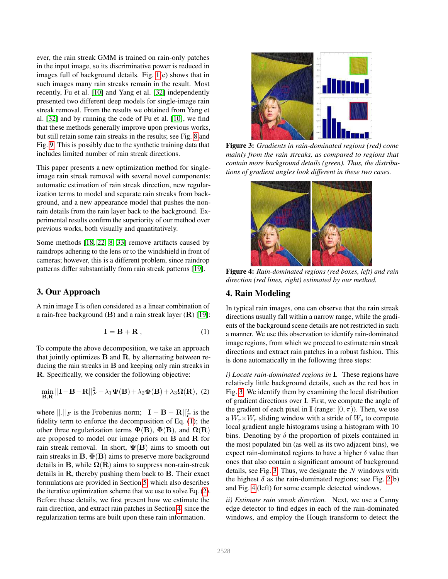ever, the rain streak GMM is trained on rain-only patches in the input image, so its discriminative power is reduced in images full of background details. Fig. [1\(](#page-0-0)c) shows that in such images many rain streaks remain in the result. Most recently, Fu et al. [\[10\]](#page-8-19) and Yang et al. [\[32\]](#page-8-20) independently presented two different deep models for single-image rain streak removal. From the results we obtained from Yang et al. [\[32\]](#page-8-20) and by running the code of Fu et al. [\[10\]](#page-8-19), we find that these methods generally improve upon previous works, but still retain some rain streaks in the results; see Fig. [8](#page-5-0) and Fig. [9.](#page-6-0) This is possibly due to the synthetic training data that includes limited number of rain streak directions.

This paper presents a new optimization method for singleimage rain streak removal with several novel components: automatic estimation of rain streak direction, new regularization terms to model and separate rain streaks from background, and a new appearance model that pushes the nonrain details from the rain layer back to the background. Experimental results confirm the superiority of our method over previous works, both visually and quantitatively.

Some methods [\[18,](#page-8-21) [22,](#page-8-22) [8,](#page-8-23) [33\]](#page-8-7) remove artifacts caused by raindrops adhering to the lens or to the windshield in front of cameras; however, this is a different problem, since raindrop patterns differ substantially from rain streak patterns [\[19\]](#page-8-0).

## 3. Our Approach

A rain image I is often considered as a linear combination of a rain-free background  $(B)$  and a rain streak layer  $(R)$  [\[19\]](#page-8-0):

<span id="page-2-0"></span>
$$
\mathbf{I} = \mathbf{B} + \mathbf{R} \,, \tag{1}
$$

To compute the above decomposition, we take an approach that jointly optimizes  $B$  and  $R$ , by alternating between reducing the rain streaks in  **and keeping only rain streaks in** R. Specifically, we consider the following objective:

<span id="page-2-1"></span>
$$
\min_{\mathbf{B}, \mathbf{R}} ||\mathbf{I} - \mathbf{B} - \mathbf{R}||_F^2 + \lambda_1 \Psi(\mathbf{B}) + \lambda_2 \Phi(\mathbf{B}) + \lambda_3 \Omega(\mathbf{R}), (2)
$$

where  $||.||_F$  is the Frobenius norm;  $||\mathbf{I} - \mathbf{B} - \mathbf{R}||_F^2$  is the fidelity term to enforce the decomposition of Eq. [\(1\)](#page-2-0); the other three regularization terms  $\Psi$ (B),  $\Phi$ (B), and  $\Omega$ (R) are proposed to model our image priors on B and R for rain streak removal. In short,  $\Psi(B)$  aims to smooth out rain streaks in  $B$ ,  $\Phi(B)$  aims to preserve more background details in B, while  $\Omega(R)$  aims to suppress non-rain-streak details in R, thereby pushing them back to B. Their exact formulations are provided in Section [5,](#page-3-0) which also describes the iterative optimization scheme that we use to solve Eq. [\(2\)](#page-2-1). Before these details, we first present how we estimate the rain direction, and extract rain patches in Section [4,](#page-2-2) since the regularization terms are built upon these rain information.

<span id="page-2-3"></span>

Figure 3: *Gradients in rain-dominated regions (red) come mainly from the rain streaks, as compared to regions that contain more background details (green). Thus, the distributions of gradient angles look different in these two cases.*

<span id="page-2-4"></span>

Figure 4: *Rain-dominated regions (red boxes, left) and rain direction (red lines, right) estimated by our method.*

## <span id="page-2-2"></span>4. Rain Modeling

In typical rain images, one can observe that the rain streak directions usually fall within a narrow range, while the gradients of the background scene details are not restricted in such a manner. We use this observation to identify rain-dominated image regions, from which we proceed to estimate rain streak directions and extract rain patches in a robust fashion. This is done automatically in the following three steps:

*i) Locate rain-dominated regions in* I*.* These regions have relatively little background details, such as the red box in Fig. [3.](#page-2-3) We identify them by examining the local distribution of gradient directions over I. First, we compute the angle of the gradient of each pixel in **I** (range:  $[0, \pi)$ ). Then, we use a  $W_r \times W_r$  sliding window with a stride of  $W_s$  to compute local gradient angle histograms using a histogram with 10 bins. Denoting by  $\delta$  the proportion of pixels contained in the most populated bin (as well as its two adjacent bins), we expect rain-dominated regions to have a higher  $\delta$  value than ones that also contain a significant amount of background details, see Fig. [3.](#page-2-3) Thus, we designate the  $N$  windows with the highest  $\delta$  as the rain-dominated regions; see Fig. [2\(](#page-1-0)b) and Fig. [4](#page-2-4) (left) for some example detected windows.

*ii) Estimate rain streak direction.* Next, we use a Canny edge detector to find edges in each of the rain-dominated windows, and employ the Hough transform to detect the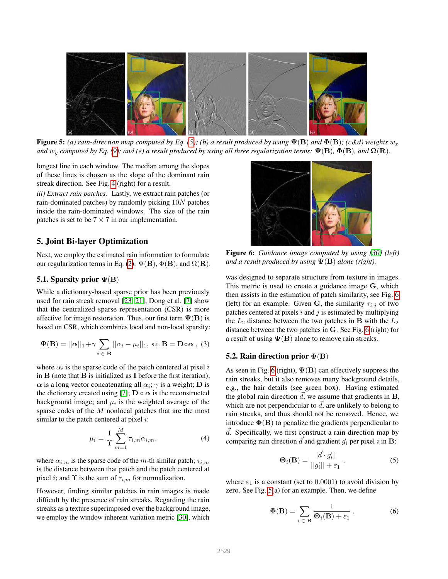<span id="page-3-3"></span>

Figure 5: *(a) rain-direction map computed by Eq.* [\(5\)](#page-3-1)*; (b) a result produced by using*  $\Psi(B)$  *and*  $\Phi(B)$ *; (c&d) weights*  $w_x$ *and*  $w_y$  *computed by Eq.* [\(9\)](#page-4-0); and (e) a result produced by using all three regularization terms:  $\Psi$ (**B**),  $\Phi$ (**B**), and  $\Omega$ (**R**).

longest line in each window. The median among the slopes of these lines is chosen as the slope of the dominant rain streak direction. See Fig. [4](#page-2-4) (right) for a result.

*iii) Extract rain patches.* Lastly, we extract rain patches (or rain-dominated patches) by randomly picking 10N patches inside the rain-dominated windows. The size of the rain patches is set to be  $7 \times 7$  in our implementation.

## <span id="page-3-0"></span>5. Joint Bi-layer Optimization

Next, we employ the estimated rain information to formulate our regularization terms in Eq. [\(2\)](#page-2-1):  $\Psi(\mathbf{B})$ ,  $\Phi(\mathbf{B})$ , and  $\Omega(\mathbf{R})$ .

#### 5.1. Sparsity prior  $\Psi$ (B)

While a dictionary-based sparse prior has been previously used for rain streak removal [\[23,](#page-8-18) [21\]](#page-8-12), Dong et al. [\[7\]](#page-8-13) show that the centralized sparse representation (CSR) is more effective for image restoration. Thus, our first term  $\Psi(B)$  is based on CSR, which combines local and non-local sparsity:

<span id="page-3-5"></span>
$$
\Psi(\mathbf{B}) = ||\boldsymbol{\alpha}||_1 + \gamma \sum_{i \in \mathbf{B}} ||\alpha_i - \mu_i||_1, \text{ s.t. } \mathbf{B} = \mathbf{D} \circ \boldsymbol{\alpha}, \text{ (3)}
$$

where  $\alpha_i$  is the sparse code of the patch centered at pixel i in  $\bf{B}$  (note that  $\bf{B}$  is initialized as  $\bf{I}$  before the first iteration);  $\alpha$  is a long vector concatenating all  $\alpha_i$ ;  $\gamma$  is a weight; **D** is the dictionary created using [\[7\]](#page-8-13);  $\mathbf{D} \circ \alpha$  is the reconstructed background image; and  $\mu_i$  is the weighted average of the sparse codes of the M nonlocal patches that are the most similar to the patch centered at pixel  $i$ :

<span id="page-3-6"></span>
$$
\mu_i = \frac{1}{\Upsilon} \sum_{m=1}^{M} \tau_{i,m} \alpha_{i,m}, \tag{4}
$$

where  $\alpha_{i,m}$  is the sparse code of the m-th similar patch;  $\tau_{i,m}$ is the distance between that patch and the patch centered at pixel *i*; and  $\Upsilon$  is the sum of  $\tau_{i,m}$  for normalization.

However, finding similar patches in rain images is made difficult by the presence of rain streaks. Regarding the rain streaks as a texture superimposed over the background image, we employ the window inherent variation metric [\[30\]](#page-8-14), which

<span id="page-3-2"></span>

Figure 6: *Guidance image computed by using [\[30\]](#page-8-14) (left) and a result produced by using* Ψ(B) *alone (right).*

was designed to separate structure from texture in images. This metric is used to create a guidance image G, which then assists in the estimation of patch similarity, see Fig. [6](#page-3-2) (left) for an example. Given G, the similarity  $\tau_{i,j}$  of two patches centered at pixels  $i$  and  $j$  is estimated by multiplying the  $L_2$  distance between the two patches in **B** with the  $L_2$ distance between the two patches in G. See Fig. [6](#page-3-2) (right) for a result of using  $\Psi$ (B) alone to remove rain streaks.

#### 5.2. Rain direction prior  $\Phi(B)$

As seen in Fig. [6](#page-3-2) (right),  $\Psi$ (B) can effectively suppress the rain streaks, but it also removes many background details, e.g., the hair details (see green box). Having estimated the global rain direction  $d$ , we assume that gradients in  $B$ , which are not perpendicular to  $\overrightarrow{d}$ , are unlikely to belong to rain streaks, and thus should not be removed. Hence, we introduce  $\Phi(B)$  to penalize the gradients perpendicular to  $d.$  Specifically, we first construct a rain-direction map by comparing rain direction  $\vec{d}$  and gradient  $\vec{g}_i$  per pixel i in B:

<span id="page-3-1"></span>
$$
\Theta_i(\mathbf{B}) = \frac{|\vec{d} \cdot \vec{g_i}|}{||\vec{g_i}|| + \varepsilon_1},\tag{5}
$$

where  $\varepsilon_1$  is a constant (set to 0.0001) to avoid division by zero. See Fig. [5\(](#page-3-3)a) for an example. Then, we define

<span id="page-3-4"></span>
$$
\Phi(\mathbf{B}) = \sum_{i \in \mathbf{B}} \frac{1}{\Theta_i(\mathbf{B}) + \varepsilon_1} \,. \tag{6}
$$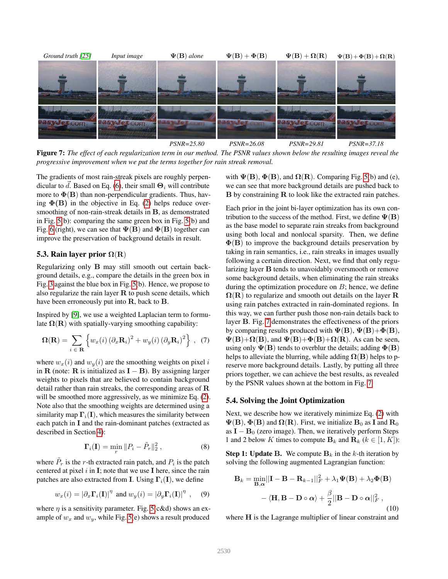<span id="page-4-1"></span>

Figure 7: *The effect of each regularization term in our method. The PSNR values shown below the resulting images reveal the progressive improvement when we put the terms together for rain streak removal.*

The gradients of most rain-streak pixels are roughly perpen-dicular to d. Based on Eq. [\(6\)](#page-3-4), their small  $\Theta_i$  will contribute more to  $\Phi(\mathbf{B})$  than non-perpendicular gradients. Thus, having  $\Phi$ (B) in the objective in Eq. [\(2\)](#page-2-1) helps reduce oversmoothing of non-rain-streak details in B, as demonstrated in Fig. [5\(](#page-3-3)b): comparing the same green box in Fig. [5\(](#page-3-3)b) and Fig. [6](#page-3-2) (right), we can see that  $\Psi$ (B) and  $\Phi$ (B) together can improve the preservation of background details in result.

#### 5.3. Rain layer prior  $\Omega(R)$

Regularizing only B may still smooth out certain background details, e.g., compare the details in the green box in Fig. [3](#page-2-3) against the blue box in Fig. [5\(](#page-3-3)b). Hence, we propose to also regularize the rain layer  $R$  to push scene details, which have been erroneously put into R, back to B.

Inspired by [\[9\]](#page-8-25), we use a weighted Laplacian term to formulate  $\Omega(R)$  with spatially-varying smoothing capability:

$$
\mathbf{\Omega}(\mathbf{R}) = \sum_{i \in \mathbf{R}} \left\{ w_x(i) \left( \partial_x \mathbf{R}_i \right)^2 + w_y(i) \left( \partial_y \mathbf{R}_i \right)^2 \right\}, \tag{7}
$$

where  $w_x(i)$  and  $w_y(i)$  are the smoothing weights on pixel i in R (note: R is initialized as  $I - B$ ). By assigning larger weights to pixels that are believed to contain background detail rather than rain streaks, the corresponding areas of  $$ will be smoothed more aggressively, as we minimize Eq.  $(2)$ . Note also that the smoothing weights are determined using a similarity map  $\Gamma_i(I)$ , which measures the similarity between each patch in I and the rain-dominant patches (extracted as described in Section [4\)](#page-2-2):

$$
\mathbf{\Gamma}_i(\mathbf{I}) = \min_r \|P_i - \tilde{P}_r\|_2^2 ,\qquad (8)
$$

where  $\tilde{P}_r$  is the r-th extracted rain patch, and  $P_i$  is the patch centered at pixel  $i$  in  $\mathbf{I}$ ; note that we use  $\mathbf{I}$  here, since the rain patches are also extracted from I. Using  $\Gamma_i(I)$ , we define

<span id="page-4-0"></span>
$$
w_x(i) = |\partial_x \mathbf{\Gamma}_i(\mathbf{I})|^{\eta}
$$
 and  $w_y(i) = |\partial_y \mathbf{\Gamma}_i(\mathbf{I})|^{\eta}$ , (9)

where  $\eta$  is a sensitivity parameter. Fig. [5\(](#page-3-3)c&d) shows an example of  $w_x$  and  $w_y$ , while Fig. [5\(](#page-3-3)e) shows a result produced with  $\Psi$ (**B**),  $\Phi$ (**B**), and  $\Omega$ (**R**). Comparing Fig. [5\(](#page-3-3)b) and (e), we can see that more background details are pushed back to B by constraining R to look like the extracted rain patches.

Each prior in the joint bi-layer optimization has its own contribution to the success of the method. First, we define  $\Psi(\mathbf{B})$ as the base model to separate rain streaks from background using both local and nonlocal sparsity. Then, we define  $\Phi(B)$  to improve the background details preservation by taking in rain semantics, i.e., rain streaks in images usually following a certain direction. Next, we find that only regularizing layer B tends to unavoidably oversmooth or remove some background details, when eliminating the rain streaks during the optimization procedure on  $B$ ; hence, we define  $\Omega(R)$  to regularize and smooth out details on the layer R using rain patches extracted in rain-dominated regions. In this way, we can further push those non-rain details back to layer B. Fig. [7](#page-4-1) demonstrates the effectiveness of the priors by comparing results produced with  $\Psi$ (B),  $\Psi$ (B)+ $\Phi$ (B),  $\Psi(\mathbf{B})+\Omega(\mathbf{B})$ , and  $\Psi(\mathbf{B})+\Phi(\mathbf{B})+\Omega(\mathbf{R})$ . As can be seen, using only  $\Psi$ (B) tends to overblur the details; adding  $\Phi$ (B) helps to alleviate the blurring, while adding  $\Omega(B)$  helps to preserve more background details. Lastly, by putting all three priors together, we can achieve the best results, as revealed by the PSNR values shown at the bottom in Fig. [7.](#page-4-1)

#### 5.4. Solving the Joint Optimization

Next, we describe how we iteratively minimize Eq. [\(2\)](#page-2-1) with  $\Psi$ (B),  $\Phi$ (B) and  $\Omega$ (R). First, we initialize  $B_0$  as I and  $R_0$ as  $I - B_0$  (zero image). Then, we iteratively perform Steps 1 and 2 below K times to compute  $\mathbf{B}_k$  and  $\mathbf{R}_k$  ( $k \in [1, K]$ ):

**Step 1: Update B.** We compute  $B_k$  in the k-th iteration by solving the following augmented Lagrangian function:

<span id="page-4-2"></span>
$$
\mathbf{B}_{k} = \min_{\mathbf{B}, \alpha} ||\mathbf{I} - \mathbf{B} - \mathbf{R}_{k-1}||_{F}^{2} + \lambda_{1} \Psi(\mathbf{B}) + \lambda_{2} \Phi(\mathbf{B})
$$

$$
- \langle \mathbf{H}, \mathbf{B} - \mathbf{D} \circ \alpha \rangle + \frac{\beta}{2} ||\mathbf{B} - \mathbf{D} \circ \alpha||_{F}^{2}, \qquad (10)
$$

where H is the Lagrange multiplier of linear constraint and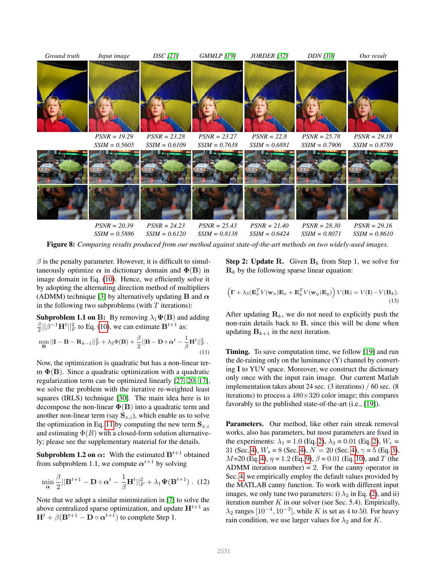<span id="page-5-0"></span>

Figure 8: *Comparing results produced from our method against state-of-the-art methods on two widely-used images.*

 $\beta$  is the penalty parameter. However, it is difficult to simultaneously optimize  $\alpha$  in dictionary domain and  $\Phi(B)$  in image domain in Eq. [\(10\)](#page-4-2). Hence, we efficiently solve it by adopting the alternating direction method of multipliers (ADMM) technique [\[3\]](#page-8-26) by alternatively updating **B** and  $\alpha$ in the following two subproblems (with  $T$  iterations):

**Subproblem 1.1 on B:** By removing  $\lambda_1 \Psi(\mathbf{B})$  and adding  $\frac{\beta}{2} ||\beta^{-1} \mathbf{H}^t||_F^2$  to Eq. [\(10\)](#page-4-2), we can estimate  $\mathbf{B}^{t+1}$  as:

<span id="page-5-1"></span>
$$
\min_{\mathbf{B}} ||\mathbf{I} - \mathbf{B} - \mathbf{R}_{k-1}||_F^2 + \lambda_2 \Phi(\mathbf{B}) + \frac{\beta}{2} ||\mathbf{B} - \mathbf{D} \circ \boldsymbol{\alpha}^t - \frac{1}{\beta} \mathbf{H}^t ||_F^2.
$$
\n(11)

Now, the optimization is quadratic but has a non-linear term  $\Phi$ (B). Since a quadratic optimization with a quadratic regularization term can be optimized linearly [\[27,](#page-8-27) [20,](#page-8-28) [17\]](#page-8-29), we solve the problem with the iterative re-weighted least squares (IRLS) technique [\[30\]](#page-8-14). The main idea here is to decompose the non-linear  $\Phi(B)$  into a quadratic term and another non-linear term (say  $S_{x,i}$ ), which enable us to solve the optimization in Eq. [11](#page-5-1) by computing the new term  $S_{x,i}$ and estimating  $\Phi(B)$  with a closed-form solution alternatively; please see the supplementary material for the details.

**Subproblem 1.2 on**  $\alpha$ **:** With the estimated  $B^{t+1}$  obtained from subproblem 1.1, we compute  $\alpha^{t+1}$  by solving

$$
\min_{\mathbf{\alpha}} \frac{\beta}{2} ||\mathbf{B}^{t+1} - \mathbf{D} \circ \mathbf{\alpha}^t - \frac{1}{\beta} \mathbf{H}^t||_F^2 + \lambda_1 \mathbf{\Psi}(\mathbf{B}^{t+1}) . \tag{12}
$$

Note that we adopt a similar minimization in [\[7\]](#page-8-13) to solve the above centralized sparse optimization, and update  $H^{t+1}$  as  $\mathbf{H}^{t} + \beta(\mathbf{B}^{t+1} - \mathbf{D} \circ \alpha^{t+1})$  to complete Step 1.

**Step 2: Update R.** Given  $B_k$  from Step 1, we solve for  $\mathbf{R}_k$  by the following sparse linear equation:

$$
\left(\mathbf{\Gamma} + \lambda_3 (\mathbf{E}_x^T V(\mathbf{w}_x) \mathbf{E}_x + \mathbf{E}_y^T V(\mathbf{w}_y) \mathbf{E}_y)\right) V(\mathbf{R}) = V(\mathbf{I}) - V(\mathbf{B}_k).
$$
\n(13)

After updating  $\mathbf{R}_k$ , we do not need to explicitly push the non-rain details back to B, since this will be done when updating  $B_{k+1}$  in the next iteration.

Timing. To save computation time, we follow [\[19\]](#page-8-0) and run the de-raining only on the luminance (Y) channel by converting I to YUV space. Moreover, we construct the dictionary only once with the input rain image. Our current Matlab implementation takes about 24 sec. (3 iterations) / 60 sec. (8 iterations) to process a  $480\times320$  color image; this compares favorably to the published state-of-the-art (i.e., [\[19\]](#page-8-0)).

Parameters. Our method, like other rain streak removal works, also has parameters, but most parameters are fixed in the experiments:  $\lambda_1 = 1.0$  (Eq. [2\)](#page-2-1),  $\lambda_3 = 0.01$  (Eq. 2),  $W_r =$ 31 (Sec. [4\)](#page-2-2),  $W_s = 8$  (Sec. 4),  $N = 20$  (Sec. 4),  $\gamma = 5$  (Eq. [3\)](#page-3-5),  $M=20$  (Eq. [4\)](#page-3-6),  $\eta = 1.2$  (Eq. [9\)](#page-4-0),  $\beta = 0.01$  (Eq. [10\)](#page-4-2), and T (the ADMM iteration number) = 2. For the canny operator in Sec. [4,](#page-2-2) we empirically employ the default values provided by the MATLAB canny function. To work with different input images, we only tune two parameters: i)  $\lambda_2$  in Eq. [\(2\)](#page-2-1), and ii) iteration number  $K$  in our solver (see Sec. 5.4). Empirically,  $\lambda_2$  ranges [10<sup>-4</sup>, 10<sup>-3</sup>], while K is set as 4 to 50. For heavy rain condition, we use larger values for  $\lambda_2$  and for K.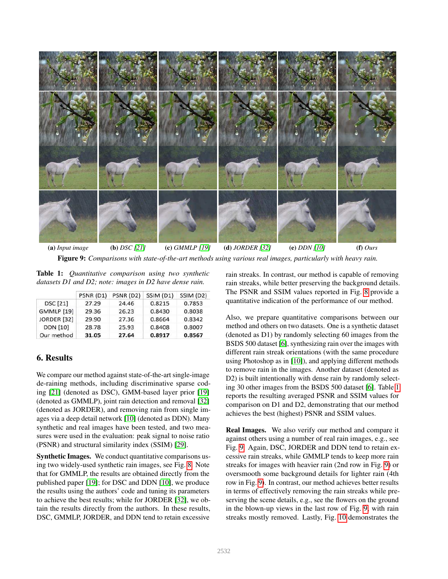<span id="page-6-0"></span>

Figure 9: *Comparisons with state-of-the-art methods using various real images, particularly with heavy rain.*

<span id="page-6-1"></span>Table 1: *Quantitative comparison using two synthetic datasets D1 and D2; note: images in D2 have dense rain.*

|                    | PSNR (D1) | PSNR (D2) | SSIM (D1) | SSIM (D2) |
|--------------------|-----------|-----------|-----------|-----------|
| <b>DSC</b> [21]    | 27.29     | 24.46     | 0.8215    | 0.7853    |
| <b>GMMLP</b> [19]  | 29.36     | 26.23     | 0.8430    | 0.8038    |
| <b>JORDER [32]</b> | 29.90     | 27.36     | 0.8664    | 0.8342    |
| <b>DDN [10]</b>    | 28.78     | 25.93     | 0.8408    | 0.8007    |
| Our method         | 31.05     | 27.64     | 0.8917    | 0.8567    |

## 6. Results

We compare our method against state-of-the-art single-image de-raining methods, including discriminative sparse coding [\[21\]](#page-8-12) (denoted as DSC), GMM-based layer prior [\[19\]](#page-8-0) (denoted as GMMLP), joint rain detection and removal [\[32\]](#page-8-20) (denoted as JORDER), and removing rain from single images via a deep detail network [\[10\]](#page-8-19) (denoted as DDN). Many synthetic and real images have been tested, and two measures were used in the evaluation: peak signal to noise ratio (PSNR) and structural similarity index (SSIM) [\[29\]](#page-8-30).

Synthetic Images. We conduct quantitative comparisons using two widely-used synthetic rain images, see Fig. [8.](#page-5-0) Note that for GMMLP, the results are obtained directly from the published paper [\[19\]](#page-8-0); for DSC and DDN [\[10\]](#page-8-19), we produce the results using the authors' code and tuning its parameters to achieve the best results; while for JORDER [\[32\]](#page-8-20), we obtain the results directly from the authors. In these results, DSC, GMMLP, JORDER, and DDN tend to retain excessive

rain streaks. In contrast, our method is capable of removing rain streaks, while better preserving the background details. The PSNR and SSIM values reported in Fig. [8](#page-5-0) provide a quantitative indication of the performance of our method.

Also, we prepare quantitative comparisons between our method and others on two datasets. One is a synthetic dataset (denoted as D1) by randomly selecting 60 images from the BSDS 500 dataset [\[6\]](#page-8-31), synthesizing rain over the images with different rain streak orientations (with the same procedure using Photoshop as in [\[10\]](#page-8-19)), and applying different methods to remove rain in the images. Another dataset (denoted as D2) is built intentionally with dense rain by randomly selecting 30 other images from the BSDS 500 dataset [\[6\]](#page-8-31). Table [1](#page-6-1) reports the resulting averaged PSNR and SSIM values for comparison on D1 and D2, demonstrating that our method achieves the best (highest) PSNR and SSIM values.

Real Images. We also verify our method and compare it against others using a number of real rain images, e.g., see Fig. [9.](#page-6-0) Again, DSC, JORDER and DDN tend to retain excessive rain streaks, while GMMLP tends to keep more rain streaks for images with heavier rain (2nd row in Fig. [9\)](#page-6-0) or oversmooth some background details for lighter rain (4th row in Fig. [9\)](#page-6-0). In contrast, our method achieves better results in terms of effectively removing the rain streaks while preserving the scene details, e.g., see the flowers on the ground in the blown-up views in the last row of Fig. [9,](#page-6-0) with rain streaks mostly removed. Lastly, Fig. [10](#page-7-0) demonstrates the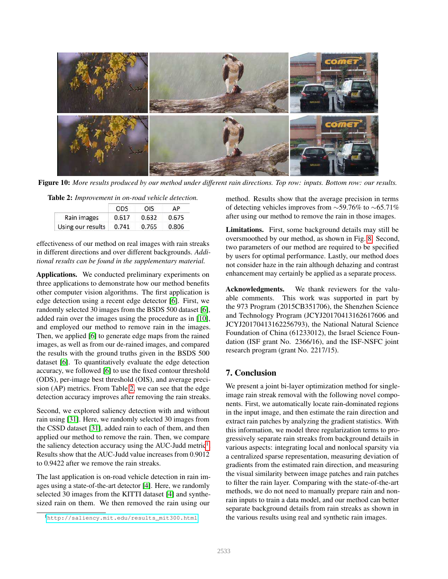<span id="page-7-0"></span>

Figure 10: *More results produced by our method under different rain directions. Top row: inputs. Bottom row: our results.*

<span id="page-7-1"></span>Table 2: *Improvement in on-road vehicle detection.*

|                   | ODS   | OIS   | АP    |
|-------------------|-------|-------|-------|
| Rain images       | 0.617 | 0.632 | 0.675 |
| Using our results | 0.741 | 0.765 | 0.806 |

effectiveness of our method on real images with rain streaks in different directions and over different backgrounds. *Additional results can be found in the supplementary material.*

Applications. We conducted preliminary experiments on three applications to demonstrate how our method benefits other computer vision algorithms. The first application is edge detection using a recent edge detector [\[6\]](#page-8-31). First, we randomly selected 30 images from the BSDS 500 dataset [\[6\]](#page-8-31), added rain over the images using the procedure as in [\[10\]](#page-8-19), and employed our method to remove rain in the images. Then, we applied [\[6\]](#page-8-31) to generate edge maps from the rained images, as well as from our de-rained images, and compared the results with the ground truths given in the BSDS 500 dataset [\[6\]](#page-8-31). To quantitatively evaluate the edge detection accuracy, we followed [\[6\]](#page-8-31) to use the fixed contour threshold (ODS), per-image best threshold (OIS), and average precision (AP) metrics. From Table [2,](#page-7-1) we can see that the edge detection accuracy improves after removing the rain streaks.

Second, we explored saliency detection with and without rain using [\[31\]](#page-8-32). Here, we randomly selected 30 images from the CSSD dataset [\[31\]](#page-8-32), added rain to each of them, and then applied our method to remove the rain. Then, we compare the saliency detection accuracy using the AUC-Judd metric<sup>[1](#page-7-2)</sup>. Results show that the AUC-Judd value increases from 0.9012 to 0.9422 after we remove the rain streaks.

The last application is on-road vehicle detection in rain images using a state-of-the-art detector [\[4\]](#page-8-33). Here, we randomly selected 30 images from the KITTI dataset [\[4\]](#page-8-33) and synthesized rain on them. We then removed the rain using our

method. Results show that the average precision in terms of detecting vehicles improves from ∼59.76% to ∼65.71% after using our method to remove the rain in those images.

Limitations. First, some background details may still be oversmoothed by our method, as shown in Fig. [8.](#page-5-0) Second, two parameters of our method are required to be specified by users for optimal performance. Lastly, our method does not consider haze in the rain although dehazing and contrast enhancement may certainly be applied as a separate process.

Acknowledgments. We thank reviewers for the valuable comments. This work was supported in part by the 973 Program (2015CB351706), the Shenzhen Science and Technology Program (JCYJ20170413162617606 and JCYJ20170413162256793), the National Natural Science Foundation of China (61233012), the Israel Science Foundation (ISF grant No. 2366/16), and the ISF-NSFC joint research program (grant No. 2217/15).

## 7. Conclusion

We present a joint bi-layer optimization method for singleimage rain streak removal with the following novel components. First, we automatically locate rain-dominated regions in the input image, and then estimate the rain direction and extract rain patches by analyzing the gradient statistics. With this information, we model three regularization terms to progressively separate rain streaks from background details in various aspects: integrating local and nonlocal sparsity via a centralized sparse representation, measuring deviation of gradients from the estimated rain direction, and measuring the visual similarity between image patches and rain patches to filter the rain layer. Comparing with the state-of-the-art methods, we do not need to manually prepare rain and nonrain inputs to train a data model, and our method can better separate background details from rain streaks as shown in the various results using real and synthetic rain images.

<span id="page-7-2"></span><sup>1</sup>[http://saliency.mit.edu/results\\_mit300.html](http://saliency.mit.edu/results_mit300.html)